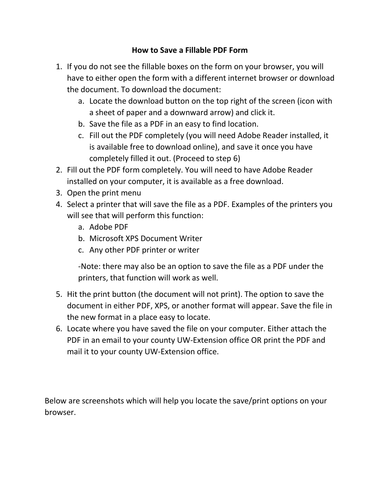## **How to Save a Fillable PDF Form**

- 1. If you do not see the fillable boxes on the form on your browser, you will have to either open the form with a different internet browser or download the document. To download the document:
	- a. Locate the download button on the top right of the screen (icon with a sheet of paper and a downward arrow) and click it.
	- b. Save the file as a PDF in an easy to find location.
	- c. Fill out the PDF completely (you will need Adobe Reader installed, it is available free to download online), and save it once you have completely filled it out. (Proceed to step 6)
- 2. Fill out the PDF form completely. You will need to have Adobe Reader installed on your computer, it is available as a free download.
- 3. Open the print menu
- 4. Select a printer that will save the file as a PDF. Examples of the printers you will see that will perform this function:
	- a. Adobe PDF
	- b. Microsoft XPS Document Writer
	- c. Any other PDF printer or writer

-Note: there may also be an option to save the file as a PDF under the printers, that function will work as well.

- 5. Hit the print button (the document will not print). The option to save the document in either PDF, XPS, or another format will appear. Save the file in the new format in a place easy to locate.
- 6. Locate where you have saved the file on your computer. Either attach the PDF in an email to your county UW-Extension office OR print the PDF and mail it to your county UW-Extension office.

Below are screenshots which will help you locate the save/print options on your browser.